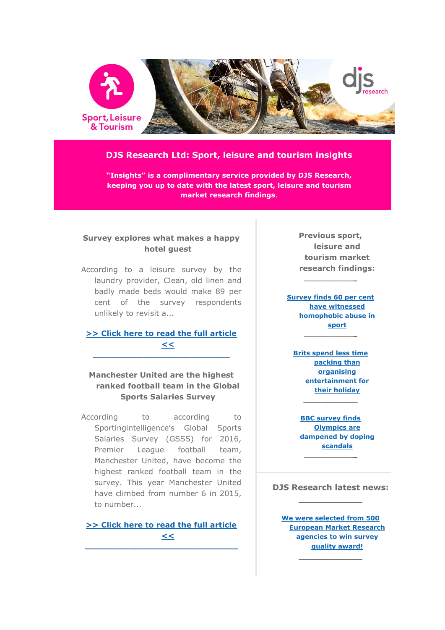

## **DJS Research Ltd: Sport, leisure and tourism insights**

**"Insights" is a complimentary service provided by DJS Research, keeping you up to date with the latest sport, leisure and tourism market research findings**.

### **Survey explores what makes a happy hotel guest**

According to a leisure survey by the laundry provider, Clean, old linen and badly made beds would make 89 per cent of the survey respondents unlikely to revisit a...

## **[>> Click here to read the full article](http://www.djsresearch.co.uk/SportLeisureAndTourismMarketResearchInsightsAndFindings/article/Survey-explores-what-makes-a-happy-hotel-guest-03420)  [<<](http://www.djsresearch.co.uk/SportLeisureAndTourismMarketResearchInsightsAndFindings/article/Survey-explores-what-makes-a-happy-hotel-guest-03420)**  $\_$  ,  $\_$  ,  $\_$  ,  $\_$  ,  $\_$  ,  $\_$  ,  $\_$  ,  $\_$  ,  $\_$  ,  $\_$  ,  $\_$  ,  $\_$  ,  $\_$  ,  $\_$

## **Manchester United are the highest ranked football team in the Global Sports Salaries Survey**

According to according to Sportingintelligence's Global Sports Salaries Survey (GSSS) for 2016, Premier League football team, Manchester United, have become the highest ranked football team in the survey. This year Manchester United have climbed from number 6 in 2015, to number...

**[>> Click here to read the full article](http://www.djsresearch.co.uk/SportLeisureAndTourismMarketResearchInsightsAndFindings/article/Manchester-United-highest-ranked-football-team-in-the-Global-Sports-Salaries-Survey-03377)  [<<](http://www.djsresearch.co.uk/SportLeisureAndTourismMarketResearchInsightsAndFindings/article/Manchester-United-highest-ranked-football-team-in-the-Global-Sports-Salaries-Survey-03377) \_\_\_\_\_\_\_\_\_\_\_\_\_\_\_\_\_\_\_\_\_\_\_\_\_\_\_\_\_\_\_\_\_\_\_**

**Previous sport, leisure and tourism market research findings:**

**[Survey finds 60 per cent](http://www.djsresearch.co.uk/SportLeisureAndTourismMarketResearchInsightsAndFindings/article/Survey-finds-60-per-cent-have-witnessed-homophobic-abuse-in-sport-03315)  [have witnessed](http://www.djsresearch.co.uk/SportLeisureAndTourismMarketResearchInsightsAndFindings/article/Survey-finds-60-per-cent-have-witnessed-homophobic-abuse-in-sport-03315)  [homophobic abuse in](http://www.djsresearch.co.uk/SportLeisureAndTourismMarketResearchInsightsAndFindings/article/Survey-finds-60-per-cent-have-witnessed-homophobic-abuse-in-sport-03315)  [sport](http://www.djsresearch.co.uk/SportLeisureAndTourismMarketResearchInsightsAndFindings/article/Survey-finds-60-per-cent-have-witnessed-homophobic-abuse-in-sport-03315)**

**\_\_\_\_\_\_\_\_\_\_\_\_**

**\_\_\_\_\_\_\_\_\_\_\_\_**

**[Brits spend less time](http://www.djsresearch.co.uk/SportLeisureAndTourismMarketResearchInsightsAndFindings/article/Brits-spend-less-time-packing-than-organising-entertainment-for-their-holiday-03261)  [packing than](http://www.djsresearch.co.uk/SportLeisureAndTourismMarketResearchInsightsAndFindings/article/Brits-spend-less-time-packing-than-organising-entertainment-for-their-holiday-03261)  [organising](http://www.djsresearch.co.uk/SportLeisureAndTourismMarketResearchInsightsAndFindings/article/Brits-spend-less-time-packing-than-organising-entertainment-for-their-holiday-03261)  [entertainment for](http://www.djsresearch.co.uk/SportLeisureAndTourismMarketResearchInsightsAndFindings/article/Brits-spend-less-time-packing-than-organising-entertainment-for-their-holiday-03261)  [their holiday](http://www.djsresearch.co.uk/SportLeisureAndTourismMarketResearchInsightsAndFindings/article/Brits-spend-less-time-packing-than-organising-entertainment-for-their-holiday-03261) \_\_\_\_\_\_\_\_\_\_\_\_**

**[BBC survey finds](http://www.djsresearch.co.uk/SportLeisureAndTourismMarketResearchInsightsAndFindings/article/BBC-survey-finds-Olympics-are-dampened-by-doping-scandals-03215)  [Olympics are](http://www.djsresearch.co.uk/SportLeisureAndTourismMarketResearchInsightsAndFindings/article/BBC-survey-finds-Olympics-are-dampened-by-doping-scandals-03215)  [dampened by doping](http://www.djsresearch.co.uk/SportLeisureAndTourismMarketResearchInsightsAndFindings/article/BBC-survey-finds-Olympics-are-dampened-by-doping-scandals-03215)  [scandals](http://www.djsresearch.co.uk/SportLeisureAndTourismMarketResearchInsightsAndFindings/article/BBC-survey-finds-Olympics-are-dampened-by-doping-scandals-03215) \_\_\_\_\_\_\_\_\_\_\_\_**

**DJS Research latest news: \_\_\_\_\_\_\_\_\_\_\_\_**

**[We were selected from 500](http://www.djsresearch.co.uk/news/article/We-were-selected-from-500-European-Market-Research-agencies-to-win-survey-quality-award)  [European Market Research](http://www.djsresearch.co.uk/news/article/We-were-selected-from-500-European-Market-Research-agencies-to-win-survey-quality-award)  [agencies to win survey](http://www.djsresearch.co.uk/news/article/We-were-selected-from-500-European-Market-Research-agencies-to-win-survey-quality-award)  [quality award!](http://www.djsresearch.co.uk/news/article/We-were-selected-from-500-European-Market-Research-agencies-to-win-survey-quality-award)**

**\_\_\_\_\_\_\_\_\_\_\_\_**